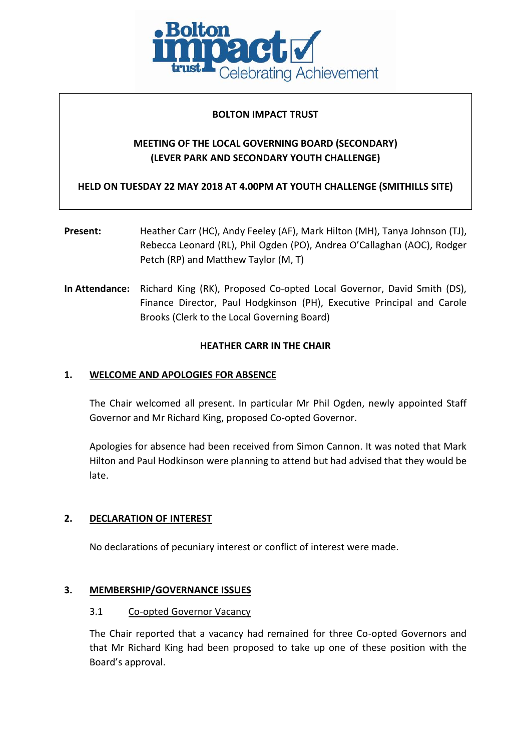

### **BOLTON IMPACT TRUST**

## **MEETING OF THE LOCAL GOVERNING BOARD (SECONDARY) (LEVER PARK AND SECONDARY YOUTH CHALLENGE)**

**HELD ON TUESDAY 22 MAY 2018 AT 4.00PM AT YOUTH CHALLENGE (SMITHILLS SITE)**

- **Present:** Heather Carr (HC), Andy Feeley (AF), Mark Hilton (MH), Tanya Johnson (TJ), Rebecca Leonard (RL), Phil Ogden (PO), Andrea O'Callaghan (AOC), Rodger Petch (RP) and Matthew Taylor (M, T)
- **In Attendance:** Richard King (RK), Proposed Co-opted Local Governor, David Smith (DS), Finance Director, Paul Hodgkinson (PH), Executive Principal and Carole Brooks (Clerk to the Local Governing Board)

#### **HEATHER CARR IN THE CHAIR**

### **1. WELCOME AND APOLOGIES FOR ABSENCE**

The Chair welcomed all present. In particular Mr Phil Ogden, newly appointed Staff Governor and Mr Richard King, proposed Co-opted Governor.

Apologies for absence had been received from Simon Cannon. It was noted that Mark Hilton and Paul Hodkinson were planning to attend but had advised that they would be late.

## **2. DECLARATION OF INTEREST**

No declarations of pecuniary interest or conflict of interest were made.

#### **3. MEMBERSHIP/GOVERNANCE ISSUES**

#### 3.1 Co-opted Governor Vacancy

The Chair reported that a vacancy had remained for three Co-opted Governors and that Mr Richard King had been proposed to take up one of these position with the Board's approval.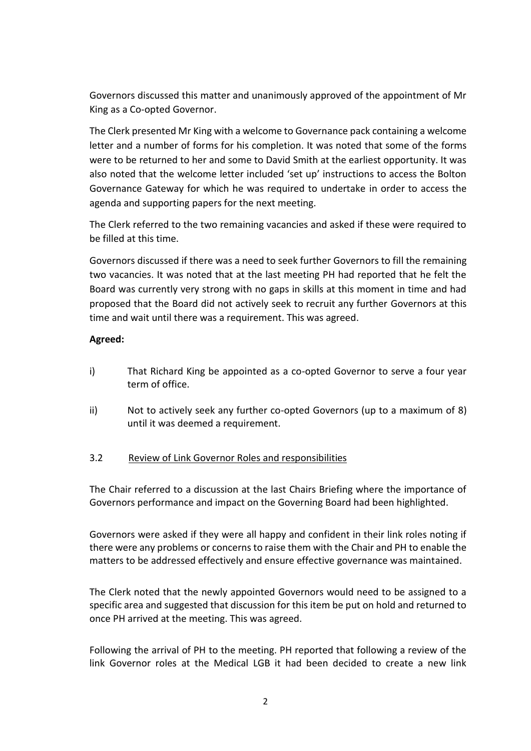Governors discussed this matter and unanimously approved of the appointment of Mr King as a Co-opted Governor.

The Clerk presented Mr King with a welcome to Governance pack containing a welcome letter and a number of forms for his completion. It was noted that some of the forms were to be returned to her and some to David Smith at the earliest opportunity. It was also noted that the welcome letter included 'set up' instructions to access the Bolton Governance Gateway for which he was required to undertake in order to access the agenda and supporting papers for the next meeting.

The Clerk referred to the two remaining vacancies and asked if these were required to be filled at this time.

Governors discussed if there was a need to seek further Governors to fill the remaining two vacancies. It was noted that at the last meeting PH had reported that he felt the Board was currently very strong with no gaps in skills at this moment in time and had proposed that the Board did not actively seek to recruit any further Governors at this time and wait until there was a requirement. This was agreed.

### **Agreed:**

- i) That Richard King be appointed as a co-opted Governor to serve a four year term of office.
- ii) Not to actively seek any further co-opted Governors (up to a maximum of 8) until it was deemed a requirement.

## 3.2 Review of Link Governor Roles and responsibilities

The Chair referred to a discussion at the last Chairs Briefing where the importance of Governors performance and impact on the Governing Board had been highlighted.

Governors were asked if they were all happy and confident in their link roles noting if there were any problems or concerns to raise them with the Chair and PH to enable the matters to be addressed effectively and ensure effective governance was maintained.

The Clerk noted that the newly appointed Governors would need to be assigned to a specific area and suggested that discussion for this item be put on hold and returned to once PH arrived at the meeting. This was agreed.

Following the arrival of PH to the meeting. PH reported that following a review of the link Governor roles at the Medical LGB it had been decided to create a new link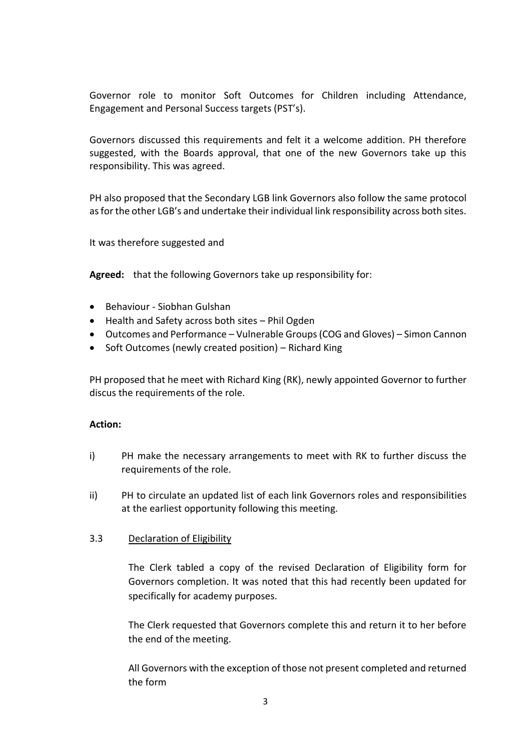Governor role to monitor Soft Outcomes for Children including Attendance, Engagement and Personal Success targets (PST's).

Governors discussed this requirements and felt it a welcome addition. PH therefore suggested, with the Boards approval, that one of the new Governors take up this responsibility. This was agreed.

PH also proposed that the Secondary LGB link Governors also follow the same protocol as for the other LGB's and undertake their individual link responsibility across both sites.

It was therefore suggested and

**Agreed:** that the following Governors take up responsibility for:

- Behaviour Siobhan Gulshan
- Health and Safety across both sites Phil Ogden
- Outcomes and Performance Vulnerable Groups (COG and Gloves) Simon Cannon
- Soft Outcomes (newly created position) Richard King

PH proposed that he meet with Richard King (RK), newly appointed Governor to further discus the requirements of the role.

### **Action:**

- i) PH make the necessary arrangements to meet with RK to further discuss the requirements of the role.
- ii) PH to circulate an updated list of each link Governors roles and responsibilities at the earliest opportunity following this meeting.

#### 3.3 Declaration of Eligibility

The Clerk tabled a copy of the revised Declaration of Eligibility form for Governors completion. It was noted that this had recently been updated for specifically for academy purposes.

The Clerk requested that Governors complete this and return it to her before the end of the meeting.

All Governors with the exception of those not present completed and returned the form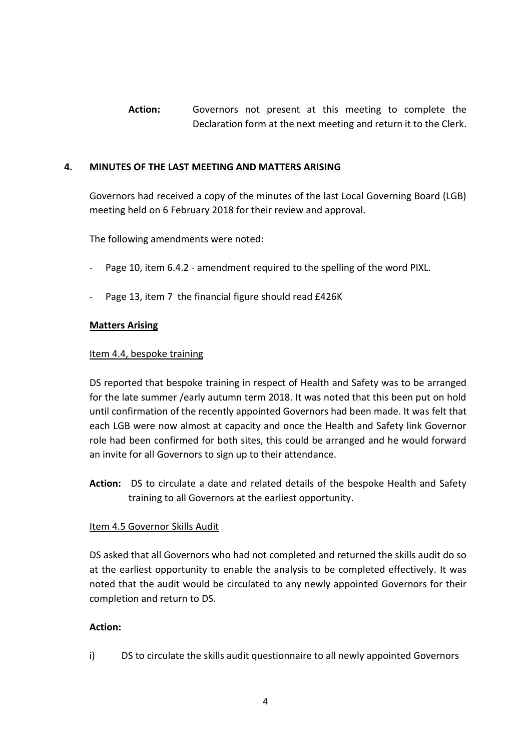**Action:** Governors not present at this meeting to complete the Declaration form at the next meeting and return it to the Clerk.

#### **4. MINUTES OF THE LAST MEETING AND MATTERS ARISING**

Governors had received a copy of the minutes of the last Local Governing Board (LGB) meeting held on 6 February 2018 for their review and approval.

The following amendments were noted:

- Page 10, item 6.4.2 amendment required to the spelling of the word PIXL.
- Page 13, item 7 the financial figure should read £426K

#### **Matters Arising**

#### Item 4.4, bespoke training

DS reported that bespoke training in respect of Health and Safety was to be arranged for the late summer /early autumn term 2018. It was noted that this been put on hold until confirmation of the recently appointed Governors had been made. It was felt that each LGB were now almost at capacity and once the Health and Safety link Governor role had been confirmed for both sites, this could be arranged and he would forward an invite for all Governors to sign up to their attendance.

**Action:** DS to circulate a date and related details of the bespoke Health and Safety training to all Governors at the earliest opportunity.

#### Item 4.5 Governor Skills Audit

DS asked that all Governors who had not completed and returned the skills audit do so at the earliest opportunity to enable the analysis to be completed effectively. It was noted that the audit would be circulated to any newly appointed Governors for their completion and return to DS.

#### **Action:**

i) DS to circulate the skills audit questionnaire to all newly appointed Governors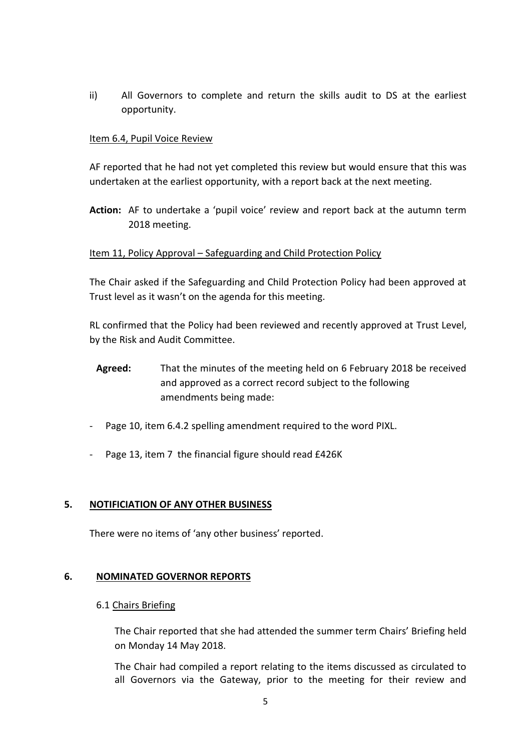ii) All Governors to complete and return the skills audit to DS at the earliest opportunity.

### Item 6.4, Pupil Voice Review

AF reported that he had not yet completed this review but would ensure that this was undertaken at the earliest opportunity, with a report back at the next meeting.

**Action:** AF to undertake a 'pupil voice' review and report back at the autumn term 2018 meeting.

#### Item 11, Policy Approval – Safeguarding and Child Protection Policy

The Chair asked if the Safeguarding and Child Protection Policy had been approved at Trust level as it wasn't on the agenda for this meeting.

RL confirmed that the Policy had been reviewed and recently approved at Trust Level, by the Risk and Audit Committee.

- **Agreed:** That the minutes of the meeting held on 6 February 2018 be received and approved as a correct record subject to the following amendments being made:
- Page 10, item 6.4.2 spelling amendment required to the word PIXL.
- Page 13, item 7 the financial figure should read £426K

#### **5. NOTIFICIATION OF ANY OTHER BUSINESS**

There were no items of 'any other business' reported.

#### **6. NOMINATED GOVERNOR REPORTS**

#### 6.1 Chairs Briefing

The Chair reported that she had attended the summer term Chairs' Briefing held on Monday 14 May 2018.

The Chair had compiled a report relating to the items discussed as circulated to all Governors via the Gateway, prior to the meeting for their review and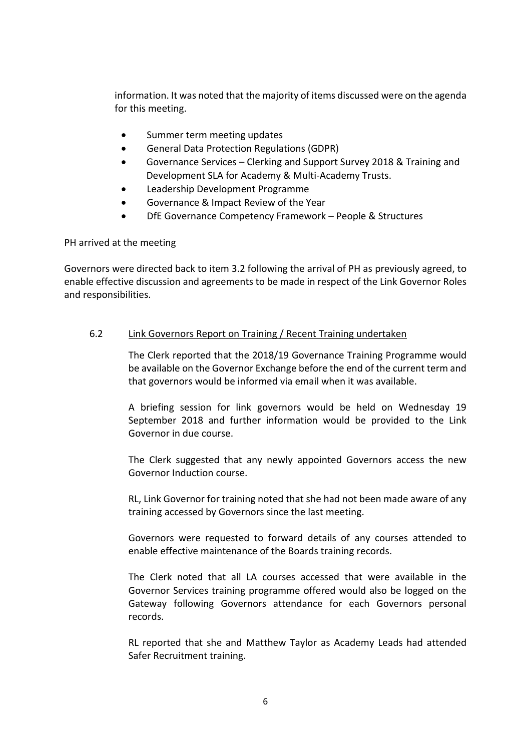information. It was noted that the majority of items discussed were on the agenda for this meeting.

- Summer term meeting updates
- General Data Protection Regulations (GDPR)
- Governance Services Clerking and Support Survey 2018 & Training and Development SLA for Academy & Multi-Academy Trusts.
- Leadership Development Programme
- Governance & Impact Review of the Year
- DfE Governance Competency Framework People & Structures

PH arrived at the meeting

Governors were directed back to item 3.2 following the arrival of PH as previously agreed, to enable effective discussion and agreements to be made in respect of the Link Governor Roles and responsibilities.

#### 6.2 Link Governors Report on Training / Recent Training undertaken

The Clerk reported that the 2018/19 Governance Training Programme would be available on the Governor Exchange before the end of the current term and that governors would be informed via email when it was available.

A briefing session for link governors would be held on Wednesday 19 September 2018 and further information would be provided to the Link Governor in due course.

The Clerk suggested that any newly appointed Governors access the new Governor Induction course.

RL, Link Governor for training noted that she had not been made aware of any training accessed by Governors since the last meeting.

Governors were requested to forward details of any courses attended to enable effective maintenance of the Boards training records.

The Clerk noted that all LA courses accessed that were available in the Governor Services training programme offered would also be logged on the Gateway following Governors attendance for each Governors personal records.

RL reported that she and Matthew Taylor as Academy Leads had attended Safer Recruitment training.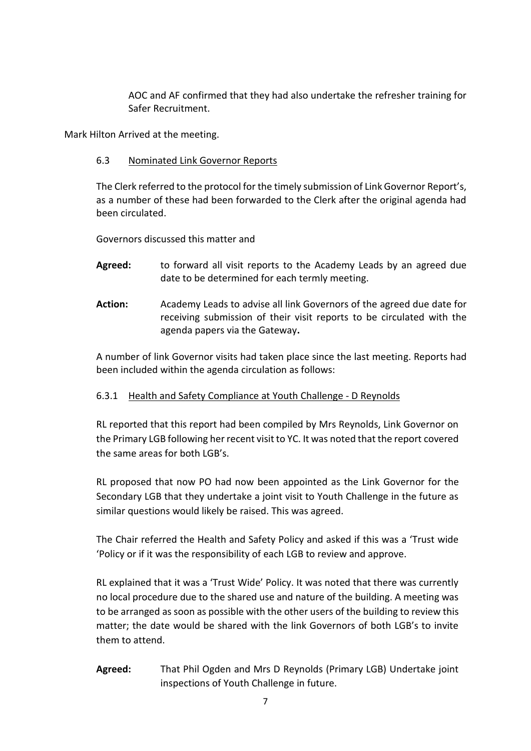AOC and AF confirmed that they had also undertake the refresher training for Safer Recruitment.

Mark Hilton Arrived at the meeting.

### 6.3 Nominated Link Governor Reports

The Clerk referred to the protocol for the timely submission of Link Governor Report's, as a number of these had been forwarded to the Clerk after the original agenda had been circulated.

Governors discussed this matter and

- **Agreed:** to forward all visit reports to the Academy Leads by an agreed due date to be determined for each termly meeting.
- **Action:** Academy Leads to advise all link Governors of the agreed due date for receiving submission of their visit reports to be circulated with the agenda papers via the Gateway**.**

A number of link Governor visits had taken place since the last meeting. Reports had been included within the agenda circulation as follows:

## 6.3.1 Health and Safety Compliance at Youth Challenge - D Reynolds

RL reported that this report had been compiled by Mrs Reynolds, Link Governor on the Primary LGB following her recent visit to YC. It was noted that the report covered the same areas for both LGB's.

RL proposed that now PO had now been appointed as the Link Governor for the Secondary LGB that they undertake a joint visit to Youth Challenge in the future as similar questions would likely be raised. This was agreed.

The Chair referred the Health and Safety Policy and asked if this was a 'Trust wide 'Policy or if it was the responsibility of each LGB to review and approve.

RL explained that it was a 'Trust Wide' Policy. It was noted that there was currently no local procedure due to the shared use and nature of the building. A meeting was to be arranged as soon as possible with the other users of the building to review this matter; the date would be shared with the link Governors of both LGB's to invite them to attend.

**Agreed:** That Phil Ogden and Mrs D Reynolds (Primary LGB) Undertake joint inspections of Youth Challenge in future.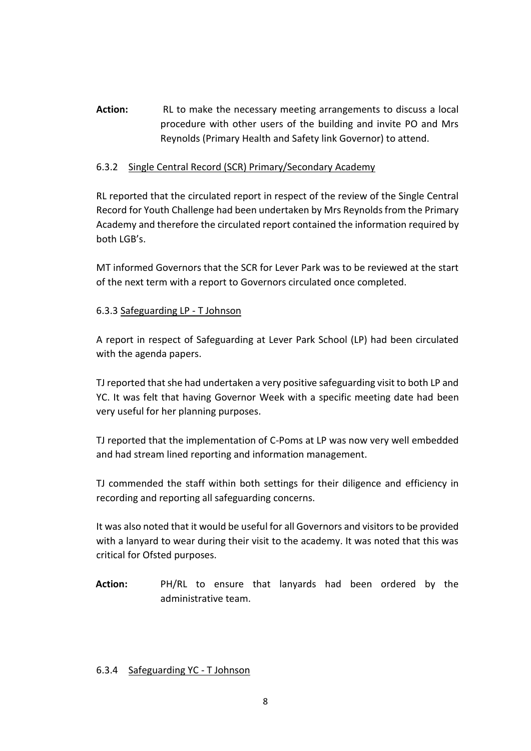**Action:** RL to make the necessary meeting arrangements to discuss a local procedure with other users of the building and invite PO and Mrs Reynolds (Primary Health and Safety link Governor) to attend.

### 6.3.2 Single Central Record (SCR) Primary/Secondary Academy

RL reported that the circulated report in respect of the review of the Single Central Record for Youth Challenge had been undertaken by Mrs Reynolds from the Primary Academy and therefore the circulated report contained the information required by both LGB's.

MT informed Governors that the SCR for Lever Park was to be reviewed at the start of the next term with a report to Governors circulated once completed.

### 6.3.3 Safeguarding LP - T Johnson

A report in respect of Safeguarding at Lever Park School (LP) had been circulated with the agenda papers.

TJ reported that she had undertaken a very positive safeguarding visit to both LP and YC. It was felt that having Governor Week with a specific meeting date had been very useful for her planning purposes.

TJ reported that the implementation of C-Poms at LP was now very well embedded and had stream lined reporting and information management.

TJ commended the staff within both settings for their diligence and efficiency in recording and reporting all safeguarding concerns.

It was also noted that it would be useful for all Governors and visitors to be provided with a lanyard to wear during their visit to the academy. It was noted that this was critical for Ofsted purposes.

**Action:** PH/RL to ensure that lanyards had been ordered by the administrative team.

#### 6.3.4 Safeguarding YC - T Johnson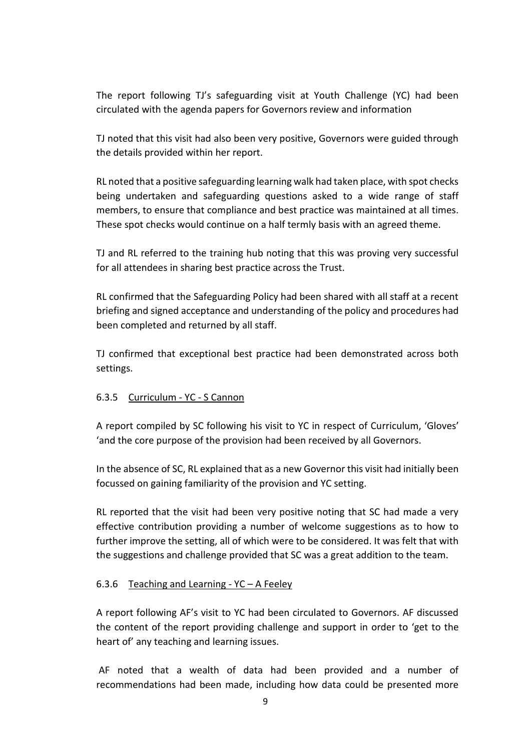The report following TJ's safeguarding visit at Youth Challenge (YC) had been circulated with the agenda papers for Governors review and information

TJ noted that this visit had also been very positive, Governors were guided through the details provided within her report.

RL noted that a positive safeguarding learning walk had taken place, with spot checks being undertaken and safeguarding questions asked to a wide range of staff members, to ensure that compliance and best practice was maintained at all times. These spot checks would continue on a half termly basis with an agreed theme.

TJ and RL referred to the training hub noting that this was proving very successful for all attendees in sharing best practice across the Trust.

RL confirmed that the Safeguarding Policy had been shared with all staff at a recent briefing and signed acceptance and understanding of the policy and procedures had been completed and returned by all staff.

TJ confirmed that exceptional best practice had been demonstrated across both settings.

#### 6.3.5 Curriculum - YC - S Cannon

A report compiled by SC following his visit to YC in respect of Curriculum, 'Gloves' 'and the core purpose of the provision had been received by all Governors.

In the absence of SC, RL explained that as a new Governor this visit had initially been focussed on gaining familiarity of the provision and YC setting.

RL reported that the visit had been very positive noting that SC had made a very effective contribution providing a number of welcome suggestions as to how to further improve the setting, all of which were to be considered. It was felt that with the suggestions and challenge provided that SC was a great addition to the team.

#### 6.3.6 Teaching and Learning -  $YC - A Feeley$

A report following AF's visit to YC had been circulated to Governors. AF discussed the content of the report providing challenge and support in order to 'get to the heart of' any teaching and learning issues.

AF noted that a wealth of data had been provided and a number of recommendations had been made, including how data could be presented more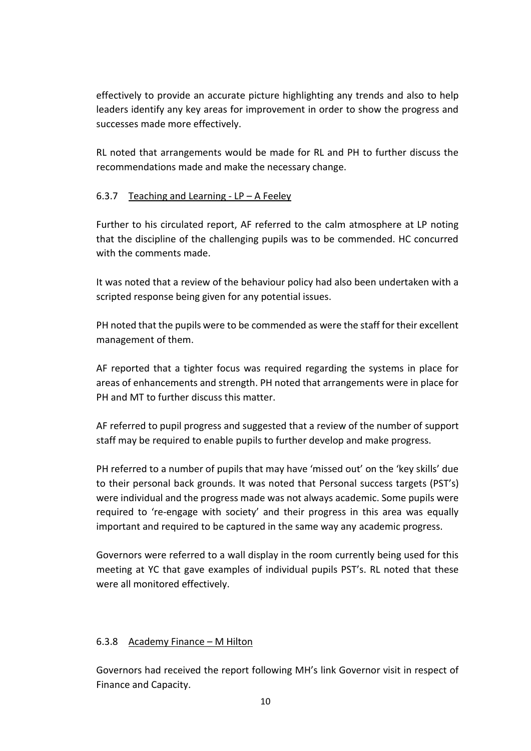effectively to provide an accurate picture highlighting any trends and also to help leaders identify any key areas for improvement in order to show the progress and successes made more effectively.

RL noted that arrangements would be made for RL and PH to further discuss the recommendations made and make the necessary change.

# 6.3.7 Teaching and Learning -  $LP - A$  Feeley

Further to his circulated report, AF referred to the calm atmosphere at LP noting that the discipline of the challenging pupils was to be commended. HC concurred with the comments made.

It was noted that a review of the behaviour policy had also been undertaken with a scripted response being given for any potential issues.

PH noted that the pupils were to be commended as were the staff for their excellent management of them.

AF reported that a tighter focus was required regarding the systems in place for areas of enhancements and strength. PH noted that arrangements were in place for PH and MT to further discuss this matter.

AF referred to pupil progress and suggested that a review of the number of support staff may be required to enable pupils to further develop and make progress.

PH referred to a number of pupils that may have 'missed out' on the 'key skills' due to their personal back grounds. It was noted that Personal success targets (PST's) were individual and the progress made was not always academic. Some pupils were required to 're-engage with society' and their progress in this area was equally important and required to be captured in the same way any academic progress.

Governors were referred to a wall display in the room currently being used for this meeting at YC that gave examples of individual pupils PST's. RL noted that these were all monitored effectively.

## 6.3.8 Academy Finance – M Hilton

Governors had received the report following MH's link Governor visit in respect of Finance and Capacity.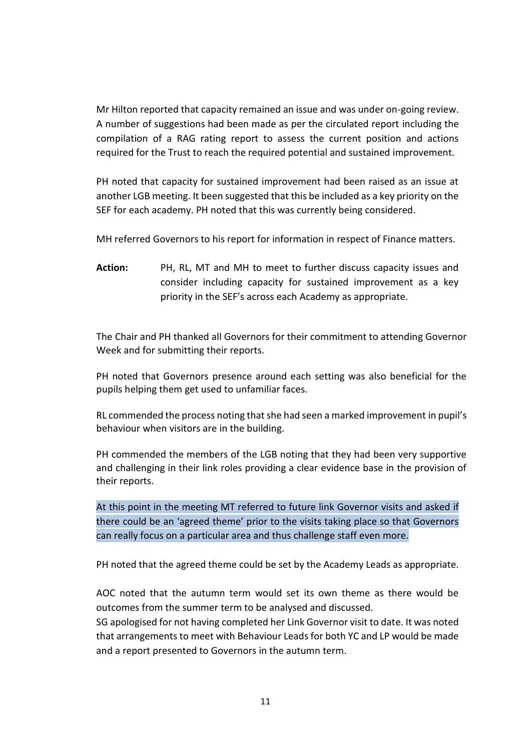Mr Hilton reported that capacity remained an issue and was under on-going review. A number of suggestions had been made as per the circulated report including the compilation of a RAG rating report to assess the current position and actions required for the Trust to reach the required potential and sustained improvement.

PH noted that capacity for sustained improvement had been raised as an issue at another LGB meeting. It been suggested that this be included as a key priority on the SEF for each academy. PH noted that this was currently being considered.

MH referred Governors to his report for information in respect of Finance matters.

**Action:** PH, RL, MT and MH to meet to further discuss capacity issues and consider including capacity for sustained improvement as a key priority in the SEF's across each Academy as appropriate.

The Chair and PH thanked all Governors for their commitment to attending Governor Week and for submitting their reports.

PH noted that Governors presence around each setting was also beneficial for the pupils helping them get used to unfamiliar faces.

RL commended the process noting that she had seen a marked improvement in pupil's behaviour when visitors are in the building.

PH commended the members of the LGB noting that they had been very supportive and challenging in their link roles providing a clear evidence base in the provision of their reports.

At this point in the meeting MT referred to future link Governor visits and asked if there could be an 'agreed theme' prior to the visits taking place so that Governors can really focus on a particular area and thus challenge staff even more.

PH noted that the agreed theme could be set by the Academy Leads as appropriate.

AOC noted that the autumn term would set its own theme as there would be outcomes from the summer term to be analysed and discussed.

SG apologised for not having completed her Link Governor visit to date. It was noted that arrangements to meet with Behaviour Leads for both YC and LP would be made and a report presented to Governors in the autumn term.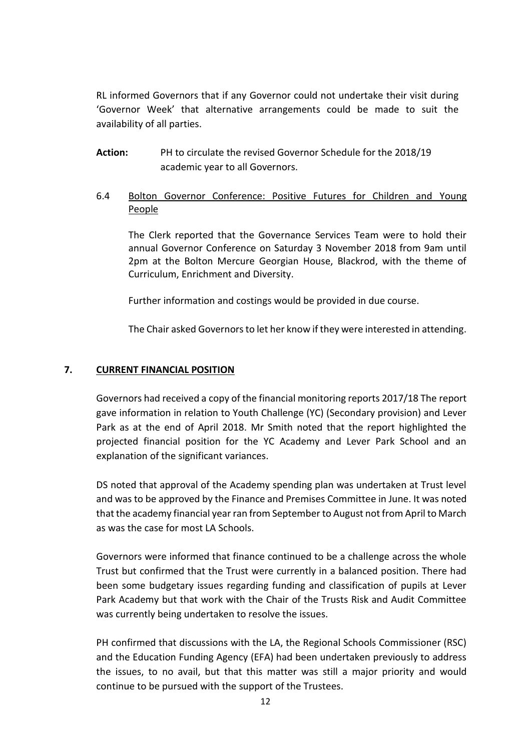RL informed Governors that if any Governor could not undertake their visit during 'Governor Week' that alternative arrangements could be made to suit the availability of all parties.

- **Action:** PH to circulate the revised Governor Schedule for the 2018/19 academic year to all Governors.
- 6.4 Bolton Governor Conference: Positive Futures for Children and Young People

The Clerk reported that the Governance Services Team were to hold their annual Governor Conference on Saturday 3 November 2018 from 9am until 2pm at the Bolton Mercure Georgian House, Blackrod, with the theme of Curriculum, Enrichment and Diversity.

Further information and costings would be provided in due course.

The Chair asked Governors to let her know if they were interested in attending.

### **7. CURRENT FINANCIAL POSITION**

Governors had received a copy of the financial monitoring reports 2017/18 The report gave information in relation to Youth Challenge (YC) (Secondary provision) and Lever Park as at the end of April 2018. Mr Smith noted that the report highlighted the projected financial position for the YC Academy and Lever Park School and an explanation of the significant variances.

DS noted that approval of the Academy spending plan was undertaken at Trust level and was to be approved by the Finance and Premises Committee in June. It was noted that the academy financial year ran from September to August not from April to March as was the case for most LA Schools.

Governors were informed that finance continued to be a challenge across the whole Trust but confirmed that the Trust were currently in a balanced position. There had been some budgetary issues regarding funding and classification of pupils at Lever Park Academy but that work with the Chair of the Trusts Risk and Audit Committee was currently being undertaken to resolve the issues.

PH confirmed that discussions with the LA, the Regional Schools Commissioner (RSC) and the Education Funding Agency (EFA) had been undertaken previously to address the issues, to no avail, but that this matter was still a major priority and would continue to be pursued with the support of the Trustees.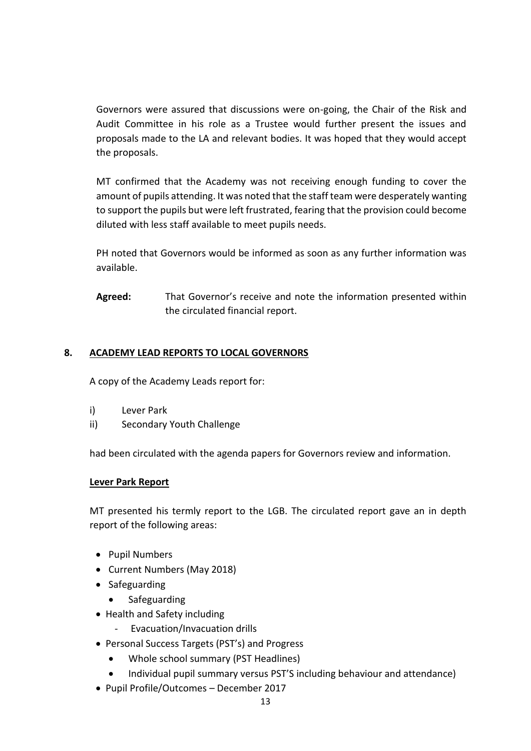Governors were assured that discussions were on-going, the Chair of the Risk and Audit Committee in his role as a Trustee would further present the issues and proposals made to the LA and relevant bodies. It was hoped that they would accept the proposals.

MT confirmed that the Academy was not receiving enough funding to cover the amount of pupils attending. It was noted that the staff team were desperately wanting to support the pupils but were left frustrated, fearing that the provision could become diluted with less staff available to meet pupils needs.

PH noted that Governors would be informed as soon as any further information was available.

**Agreed:** That Governor's receive and note the information presented within the circulated financial report.

## **8. ACADEMY LEAD REPORTS TO LOCAL GOVERNORS**

A copy of the Academy Leads report for:

- i) Lever Park
- ii) Secondary Youth Challenge

had been circulated with the agenda papers for Governors review and information.

#### **Lever Park Report**

MT presented his termly report to the LGB. The circulated report gave an in depth report of the following areas:

- Pupil Numbers
- Current Numbers (May 2018)
- Safeguarding
	- Safeguarding
- Health and Safety including
	- Evacuation/Invacuation drills
- Personal Success Targets (PST's) and Progress
	- Whole school summary (PST Headlines)
	- Individual pupil summary versus PST'S including behaviour and attendance)
- Pupil Profile/Outcomes December 2017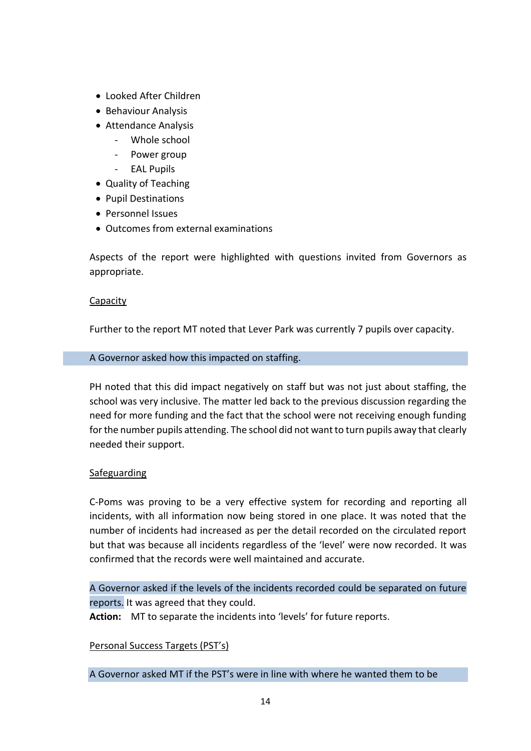- Looked After Children
- Behaviour Analysis
- Attendance Analysis
	- Whole school
	- Power group
	- EAL Pupils
- Quality of Teaching
- Pupil Destinations
- Personnel Issues
- Outcomes from external examinations

Aspects of the report were highlighted with questions invited from Governors as appropriate.

#### Capacity

Further to the report MT noted that Lever Park was currently 7 pupils over capacity.

#### A Governor asked how this impacted on staffing.

PH noted that this did impact negatively on staff but was not just about staffing, the school was very inclusive. The matter led back to the previous discussion regarding the need for more funding and the fact that the school were not receiving enough funding for the number pupils attending. The school did not want to turn pupils away that clearly needed their support.

#### Safeguarding

C-Poms was proving to be a very effective system for recording and reporting all incidents, with all information now being stored in one place. It was noted that the number of incidents had increased as per the detail recorded on the circulated report but that was because all incidents regardless of the 'level' were now recorded. It was confirmed that the records were well maintained and accurate.

A Governor asked if the levels of the incidents recorded could be separated on future reports. It was agreed that they could.

Action: MT to separate the incidents into 'levels' for future reports.

#### Personal Success Targets (PST's)

A Governor asked MT if the PST's were in line with where he wanted them to be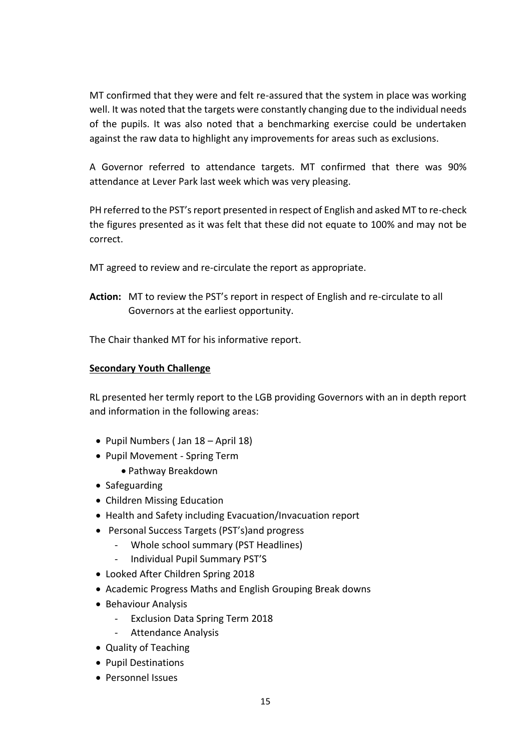MT confirmed that they were and felt re-assured that the system in place was working well. It was noted that the targets were constantly changing due to the individual needs of the pupils. It was also noted that a benchmarking exercise could be undertaken against the raw data to highlight any improvements for areas such as exclusions.

A Governor referred to attendance targets. MT confirmed that there was 90% attendance at Lever Park last week which was very pleasing.

PH referred to the PST's report presented in respect of English and asked MT to re-check the figures presented as it was felt that these did not equate to 100% and may not be correct.

MT agreed to review and re-circulate the report as appropriate.

**Action:** MT to review the PST's report in respect of English and re-circulate to all Governors at the earliest opportunity.

The Chair thanked MT for his informative report.

#### **Secondary Youth Challenge**

RL presented her termly report to the LGB providing Governors with an in depth report and information in the following areas:

- Pupil Numbers (Jan  $18 -$ April 18)
- Pupil Movement Spring Term
	- Pathway Breakdown
- Safeguarding
- Children Missing Education
- Health and Safety including Evacuation/Invacuation report
- Personal Success Targets (PST's) and progress
	- Whole school summary (PST Headlines)
	- Individual Pupil Summary PST'S
- Looked After Children Spring 2018
- Academic Progress Maths and English Grouping Break downs
- Behaviour Analysis
	- Exclusion Data Spring Term 2018
	- Attendance Analysis
- Quality of Teaching
- Pupil Destinations
- Personnel Issues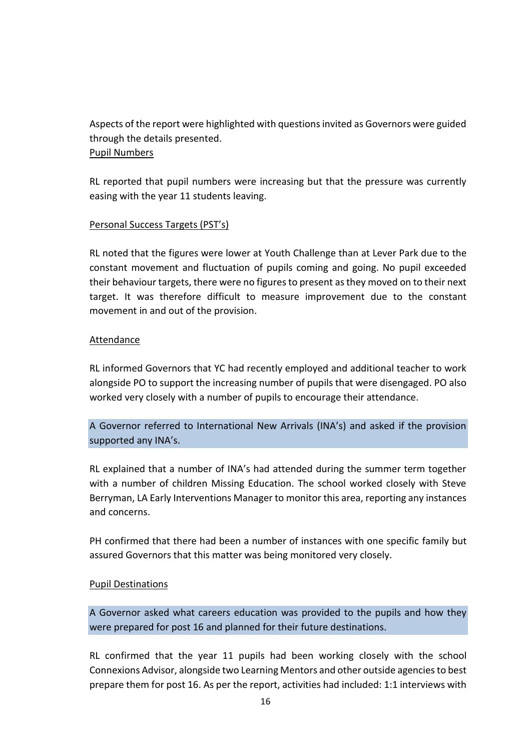Aspects of the report were highlighted with questions invited as Governors were guided through the details presented. Pupil Numbers

RL reported that pupil numbers were increasing but that the pressure was currently easing with the year 11 students leaving.

### Personal Success Targets (PST's)

RL noted that the figures were lower at Youth Challenge than at Lever Park due to the constant movement and fluctuation of pupils coming and going. No pupil exceeded their behaviour targets, there were no figures to present as they moved on to their next target. It was therefore difficult to measure improvement due to the constant movement in and out of the provision.

### Attendance

RL informed Governors that YC had recently employed and additional teacher to work alongside PO to support the increasing number of pupils that were disengaged. PO also worked very closely with a number of pupils to encourage their attendance.

A Governor referred to International New Arrivals (INA's) and asked if the provision supported any INA's.

RL explained that a number of INA's had attended during the summer term together with a number of children Missing Education. The school worked closely with Steve Berryman, LA Early Interventions Manager to monitor this area, reporting any instances and concerns.

PH confirmed that there had been a number of instances with one specific family but assured Governors that this matter was being monitored very closely.

#### Pupil Destinations

A Governor asked what careers education was provided to the pupils and how they were prepared for post 16 and planned for their future destinations.

RL confirmed that the year 11 pupils had been working closely with the school Connexions Advisor, alongside two Learning Mentors and other outside agenciesto best prepare them for post 16. As per the report, activities had included: 1:1 interviews with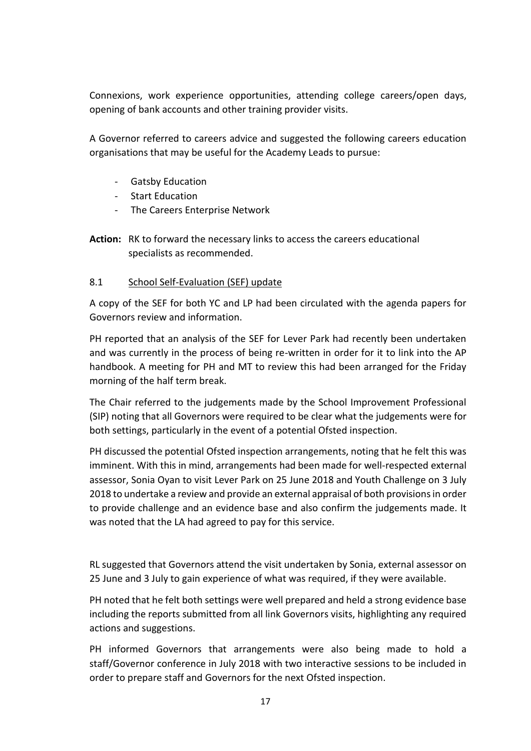Connexions, work experience opportunities, attending college careers/open days, opening of bank accounts and other training provider visits.

A Governor referred to careers advice and suggested the following careers education organisations that may be useful for the Academy Leads to pursue:

- Gatsby Education
- Start Education
- The Careers Enterprise Network
- **Action:** RK to forward the necessary links to access the careers educational specialists as recommended.

# 8.1 School Self-Evaluation (SEF) update

A copy of the SEF for both YC and LP had been circulated with the agenda papers for Governors review and information.

PH reported that an analysis of the SEF for Lever Park had recently been undertaken and was currently in the process of being re-written in order for it to link into the AP handbook. A meeting for PH and MT to review this had been arranged for the Friday morning of the half term break.

The Chair referred to the judgements made by the School Improvement Professional (SIP) noting that all Governors were required to be clear what the judgements were for both settings, particularly in the event of a potential Ofsted inspection.

PH discussed the potential Ofsted inspection arrangements, noting that he felt this was imminent. With this in mind, arrangements had been made for well-respected external assessor, Sonia Oyan to visit Lever Park on 25 June 2018 and Youth Challenge on 3 July 2018 to undertake a review and provide an external appraisal of both provisions in order to provide challenge and an evidence base and also confirm the judgements made. It was noted that the LA had agreed to pay for this service.

RL suggested that Governors attend the visit undertaken by Sonia, external assessor on 25 June and 3 July to gain experience of what was required, if they were available.

PH noted that he felt both settings were well prepared and held a strong evidence base including the reports submitted from all link Governors visits, highlighting any required actions and suggestions.

PH informed Governors that arrangements were also being made to hold a staff/Governor conference in July 2018 with two interactive sessions to be included in order to prepare staff and Governors for the next Ofsted inspection.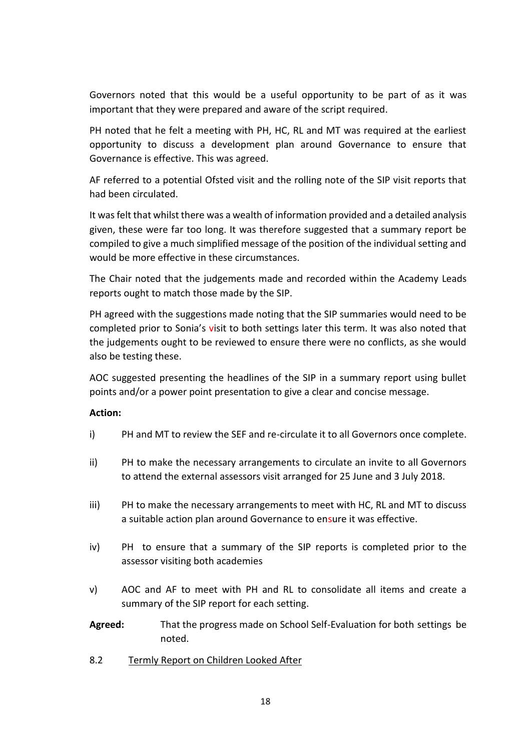Governors noted that this would be a useful opportunity to be part of as it was important that they were prepared and aware of the script required.

PH noted that he felt a meeting with PH, HC, RL and MT was required at the earliest opportunity to discuss a development plan around Governance to ensure that Governance is effective. This was agreed.

AF referred to a potential Ofsted visit and the rolling note of the SIP visit reports that had been circulated.

It was felt that whilst there was a wealth of information provided and a detailed analysis given, these were far too long. It was therefore suggested that a summary report be compiled to give a much simplified message of the position of the individual setting and would be more effective in these circumstances.

The Chair noted that the judgements made and recorded within the Academy Leads reports ought to match those made by the SIP.

PH agreed with the suggestions made noting that the SIP summaries would need to be completed prior to Sonia's visit to both settings later this term. It was also noted that the judgements ought to be reviewed to ensure there were no conflicts, as she would also be testing these.

AOC suggested presenting the headlines of the SIP in a summary report using bullet points and/or a power point presentation to give a clear and concise message.

#### **Action:**

- i) PH and MT to review the SEF and re-circulate it to all Governors once complete.
- ii) PH to make the necessary arrangements to circulate an invite to all Governors to attend the external assessors visit arranged for 25 June and 3 July 2018.
- iii) PH to make the necessary arrangements to meet with HC, RL and MT to discuss a suitable action plan around Governance to ensure it was effective.
- iv) PH to ensure that a summary of the SIP reports is completed prior to the assessor visiting both academies
- v) AOC and AF to meet with PH and RL to consolidate all items and create a summary of the SIP report for each setting.
- **Agreed:** That the progress made on School Self-Evaluation for both settings be noted.
- 8.2 Termly Report on Children Looked After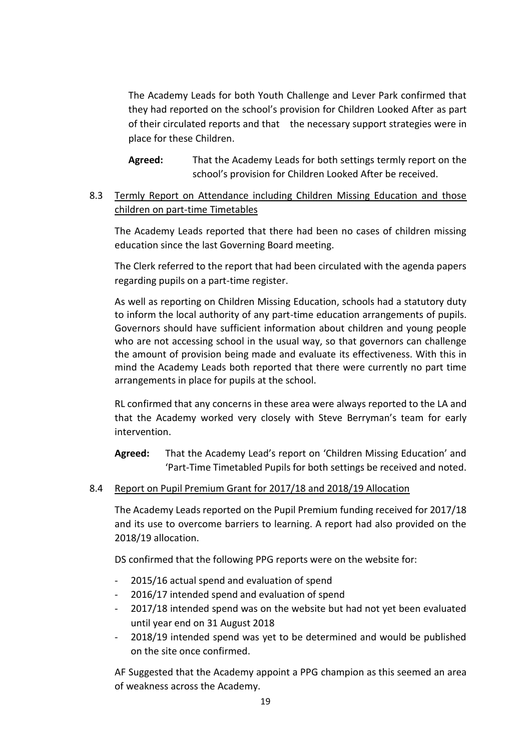The Academy Leads for both Youth Challenge and Lever Park confirmed that they had reported on the school's provision for Children Looked After as part of their circulated reports and that the necessary support strategies were in place for these Children.

**Agreed:** That the Academy Leads for both settings termly report on the school's provision for Children Looked After be received.

# 8.3 Termly Report on Attendance including Children Missing Education and those children on part-time Timetables

The Academy Leads reported that there had been no cases of children missing education since the last Governing Board meeting.

The Clerk referred to the report that had been circulated with the agenda papers regarding pupils on a part-time register.

As well as reporting on Children Missing Education, schools had a statutory duty to inform the local authority of any part-time education arrangements of pupils. Governors should have sufficient information about children and young people who are not accessing school in the usual way, so that governors can challenge the amount of provision being made and evaluate its effectiveness. With this in mind the Academy Leads both reported that there were currently no part time arrangements in place for pupils at the school.

RL confirmed that any concerns in these area were always reported to the LA and that the Academy worked very closely with Steve Berryman's team for early intervention.

**Agreed:** That the Academy Lead's report on 'Children Missing Education' and 'Part-Time Timetabled Pupils for both settings be received and noted.

#### 8.4 Report on Pupil Premium Grant for 2017/18 and 2018/19 Allocation

The Academy Leads reported on the Pupil Premium funding received for 2017/18 and its use to overcome barriers to learning. A report had also provided on the 2018/19 allocation.

DS confirmed that the following PPG reports were on the website for:

- 2015/16 actual spend and evaluation of spend
- 2016/17 intended spend and evaluation of spend
- 2017/18 intended spend was on the website but had not yet been evaluated until year end on 31 August 2018
- 2018/19 intended spend was yet to be determined and would be published on the site once confirmed.

AF Suggested that the Academy appoint a PPG champion as this seemed an area of weakness across the Academy.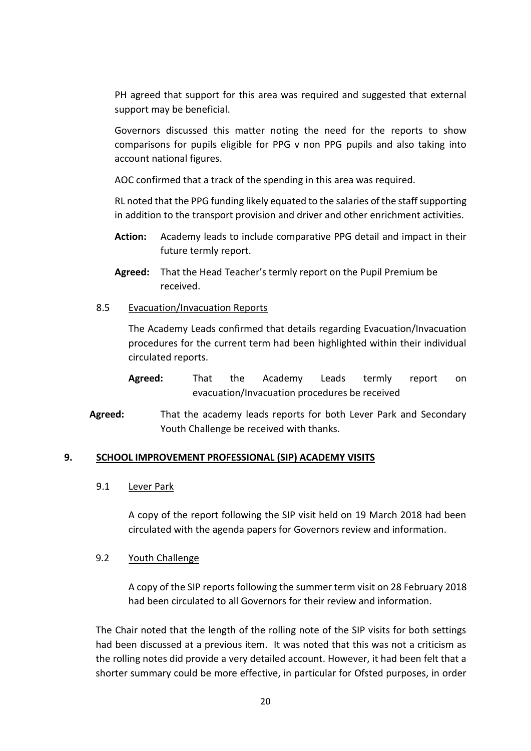PH agreed that support for this area was required and suggested that external support may be beneficial.

Governors discussed this matter noting the need for the reports to show comparisons for pupils eligible for PPG v non PPG pupils and also taking into account national figures.

AOC confirmed that a track of the spending in this area was required.

RL noted that the PPG funding likely equated to the salaries of the staff supporting in addition to the transport provision and driver and other enrichment activities.

- **Action:** Academy leads to include comparative PPG detail and impact in their future termly report.
- **Agreed:** That the Head Teacher's termly report on the Pupil Premium be received.
- 8.5 Evacuation/Invacuation Reports

The Academy Leads confirmed that details regarding Evacuation/Invacuation procedures for the current term had been highlighted within their individual circulated reports.

- **Agreed:** That the Academy Leads termly report on evacuation/Invacuation procedures be received
- **Agreed:** That the academy leads reports for both Lever Park and Secondary Youth Challenge be received with thanks.

#### **9. SCHOOL IMPROVEMENT PROFESSIONAL (SIP) ACADEMY VISITS**

#### 9.1 Lever Park

A copy of the report following the SIP visit held on 19 March 2018 had been circulated with the agenda papers for Governors review and information.

#### 9.2 Youth Challenge

A copy of the SIP reports following the summer term visit on 28 February 2018 had been circulated to all Governors for their review and information.

The Chair noted that the length of the rolling note of the SIP visits for both settings had been discussed at a previous item. It was noted that this was not a criticism as the rolling notes did provide a very detailed account. However, it had been felt that a shorter summary could be more effective, in particular for Ofsted purposes, in order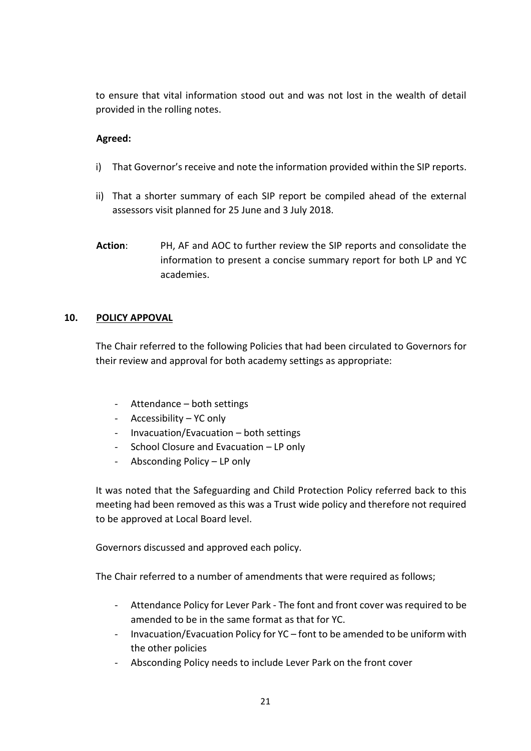to ensure that vital information stood out and was not lost in the wealth of detail provided in the rolling notes.

## **Agreed:**

- i) That Governor's receive and note the information provided within the SIP reports.
- ii) That a shorter summary of each SIP report be compiled ahead of the external assessors visit planned for 25 June and 3 July 2018.
- **Action**: PH, AF and AOC to further review the SIP reports and consolidate the information to present a concise summary report for both LP and YC academies.

# **10. POLICY APPOVAL**

The Chair referred to the following Policies that had been circulated to Governors for their review and approval for both academy settings as appropriate:

- Attendance both settings
- Accessibility YC only
- Invacuation/Evacuation both settings
- School Closure and Evacuation LP only
- Absconding Policy LP only

It was noted that the Safeguarding and Child Protection Policy referred back to this meeting had been removed as this was a Trust wide policy and therefore not required to be approved at Local Board level.

Governors discussed and approved each policy.

The Chair referred to a number of amendments that were required as follows;

- Attendance Policy for Lever Park The font and front cover was required to be amended to be in the same format as that for YC.
- Invacuation/Evacuation Policy for YC font to be amended to be uniform with the other policies
- Absconding Policy needs to include Lever Park on the front cover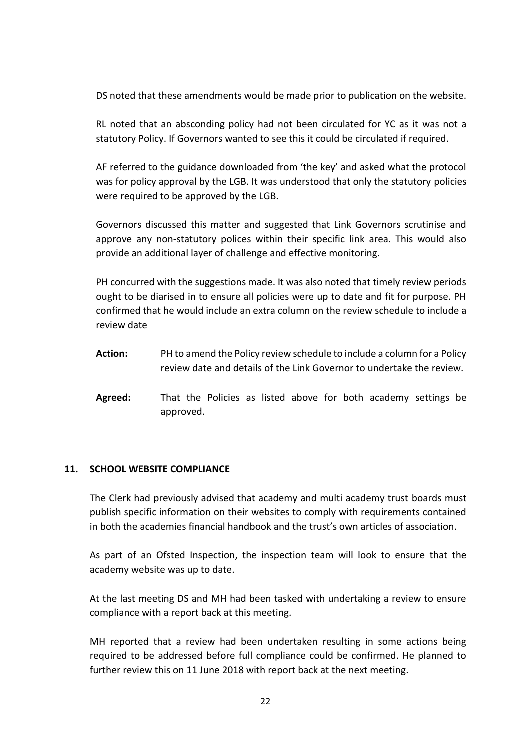DS noted that these amendments would be made prior to publication on the website.

RL noted that an absconding policy had not been circulated for YC as it was not a statutory Policy. If Governors wanted to see this it could be circulated if required.

AF referred to the guidance downloaded from 'the key' and asked what the protocol was for policy approval by the LGB. It was understood that only the statutory policies were required to be approved by the LGB.

Governors discussed this matter and suggested that Link Governors scrutinise and approve any non-statutory polices within their specific link area. This would also provide an additional layer of challenge and effective monitoring.

PH concurred with the suggestions made. It was also noted that timely review periods ought to be diarised in to ensure all policies were up to date and fit for purpose. PH confirmed that he would include an extra column on the review schedule to include a review date

- **Action:** PH to amend the Policy review schedule to include a column for a Policy review date and details of the Link Governor to undertake the review.
- **Agreed:** That the Policies as listed above for both academy settings be approved.

#### **11. SCHOOL WEBSITE COMPLIANCE**

The Clerk had previously advised that academy and multi academy trust boards must publish specific information on their websites to comply with requirements contained in both the academies financial handbook and the trust's own articles of association.

As part of an Ofsted Inspection, the inspection team will look to ensure that the academy website was up to date.

At the last meeting DS and MH had been tasked with undertaking a review to ensure compliance with a report back at this meeting.

MH reported that a review had been undertaken resulting in some actions being required to be addressed before full compliance could be confirmed. He planned to further review this on 11 June 2018 with report back at the next meeting.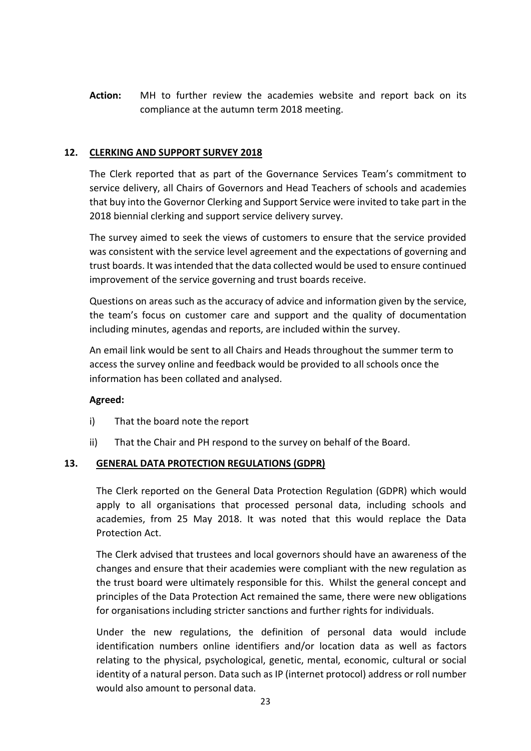**Action:** MH to further review the academies website and report back on its compliance at the autumn term 2018 meeting.

### **12. CLERKING AND SUPPORT SURVEY 2018**

The Clerk reported that as part of the Governance Services Team's commitment to service delivery, all Chairs of Governors and Head Teachers of schools and academies that buy into the Governor Clerking and Support Service were invited to take part in the 2018 biennial clerking and support service delivery survey.

The survey aimed to seek the views of customers to ensure that the service provided was consistent with the service level agreement and the expectations of governing and trust boards. It was intended that the data collected would be used to ensure continued improvement of the service governing and trust boards receive.

Questions on areas such as the accuracy of advice and information given by the service, the team's focus on customer care and support and the quality of documentation including minutes, agendas and reports, are included within the survey.

An email link would be sent to all Chairs and Heads throughout the summer term to access the survey online and feedback would be provided to all schools once the information has been collated and analysed.

## **Agreed:**

- i) That the board note the report
- ii) That the Chair and PH respond to the survey on behalf of the Board.

#### **13. GENERAL DATA PROTECTION REGULATIONS (GDPR)**

The Clerk reported on the General Data Protection Regulation (GDPR) which would apply to all organisations that processed personal data, including schools and academies, from 25 May 2018. It was noted that this would replace the Data Protection Act.

The Clerk advised that trustees and local governors should have an awareness of the changes and ensure that their academies were compliant with the new regulation as the trust board were ultimately responsible for this. Whilst the general concept and principles of the Data Protection Act remained the same, there were new obligations for organisations including stricter sanctions and further rights for individuals.

Under the new regulations, the definition of personal data would include identification numbers online identifiers and/or location data as well as factors relating to the physical, psychological, genetic, mental, economic, cultural or social identity of a natural person. Data such as IP (internet protocol) address or roll number would also amount to personal data.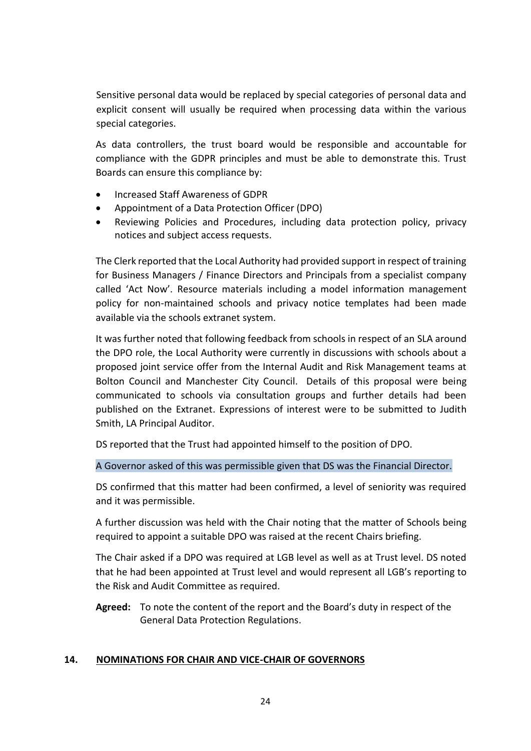Sensitive personal data would be replaced by special categories of personal data and explicit consent will usually be required when processing data within the various special categories.

As data controllers, the trust board would be responsible and accountable for compliance with the GDPR principles and must be able to demonstrate this. Trust Boards can ensure this compliance by:

- Increased Staff Awareness of GDPR
- Appointment of a Data Protection Officer (DPO)
- Reviewing Policies and Procedures, including data protection policy, privacy notices and subject access requests.

The Clerk reported that the Local Authority had provided support in respect of training for Business Managers / Finance Directors and Principals from a specialist company called 'Act Now'. Resource materials including a model information management policy for non-maintained schools and privacy notice templates had been made available via the schools extranet system.

It was further noted that following feedback from schools in respect of an SLA around the DPO role, the Local Authority were currently in discussions with schools about a proposed joint service offer from the Internal Audit and Risk Management teams at Bolton Council and Manchester City Council. Details of this proposal were being communicated to schools via consultation groups and further details had been published on the Extranet. Expressions of interest were to be submitted to Judith Smith, LA Principal Auditor.

DS reported that the Trust had appointed himself to the position of DPO.

A Governor asked of this was permissible given that DS was the Financial Director.

DS confirmed that this matter had been confirmed, a level of seniority was required and it was permissible.

A further discussion was held with the Chair noting that the matter of Schools being required to appoint a suitable DPO was raised at the recent Chairs briefing.

The Chair asked if a DPO was required at LGB level as well as at Trust level. DS noted that he had been appointed at Trust level and would represent all LGB's reporting to the Risk and Audit Committee as required.

**Agreed:** To note the content of the report and the Board's duty in respect of the General Data Protection Regulations.

## **14. NOMINATIONS FOR CHAIR AND VICE-CHAIR OF GOVERNORS**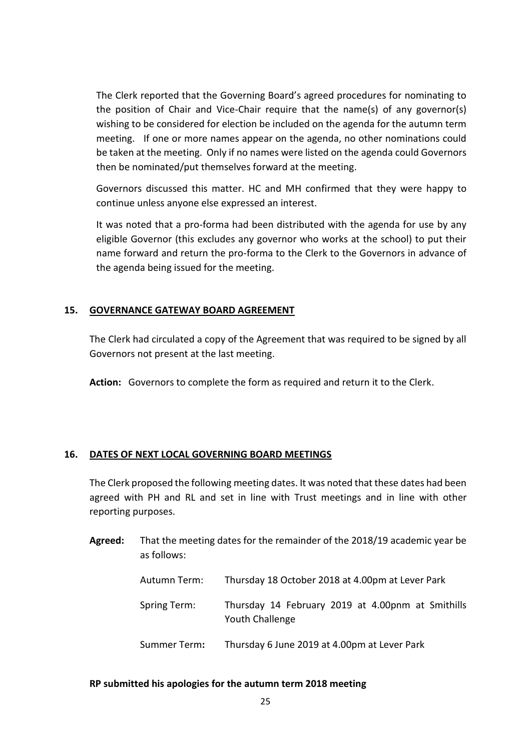The Clerk reported that the Governing Board's agreed procedures for nominating to the position of Chair and Vice-Chair require that the name(s) of any governor(s) wishing to be considered for election be included on the agenda for the autumn term meeting. If one or more names appear on the agenda, no other nominations could be taken at the meeting. Only if no names were listed on the agenda could Governors then be nominated/put themselves forward at the meeting.

Governors discussed this matter. HC and MH confirmed that they were happy to continue unless anyone else expressed an interest.

It was noted that a pro-forma had been distributed with the agenda for use by any eligible Governor (this excludes any governor who works at the school) to put their name forward and return the pro-forma to the Clerk to the Governors in advance of the agenda being issued for the meeting.

#### **15. GOVERNANCE GATEWAY BOARD AGREEMENT**

The Clerk had circulated a copy of the Agreement that was required to be signed by all Governors not present at the last meeting.

**Action:** Governors to complete the form as required and return it to the Clerk.

#### **16. DATES OF NEXT LOCAL GOVERNING BOARD MEETINGS**

The Clerk proposed the following meeting dates. It was noted that these dates had been agreed with PH and RL and set in line with Trust meetings and in line with other reporting purposes.

| Agreed: | That the meeting dates for the remainder of the 2018/19 academic year be |  |
|---------|--------------------------------------------------------------------------|--|
|         | as follows:                                                              |  |

| Autumn Term: | Thursday 18 October 2018 at 4.00pm at Lever Park                     |
|--------------|----------------------------------------------------------------------|
| Spring Term: | Thursday 14 February 2019 at 4.00pnm at Smithills<br>Youth Challenge |
| Summer Term: | Thursday 6 June 2019 at 4.00pm at Lever Park                         |

#### **RP submitted his apologies for the autumn term 2018 meeting**